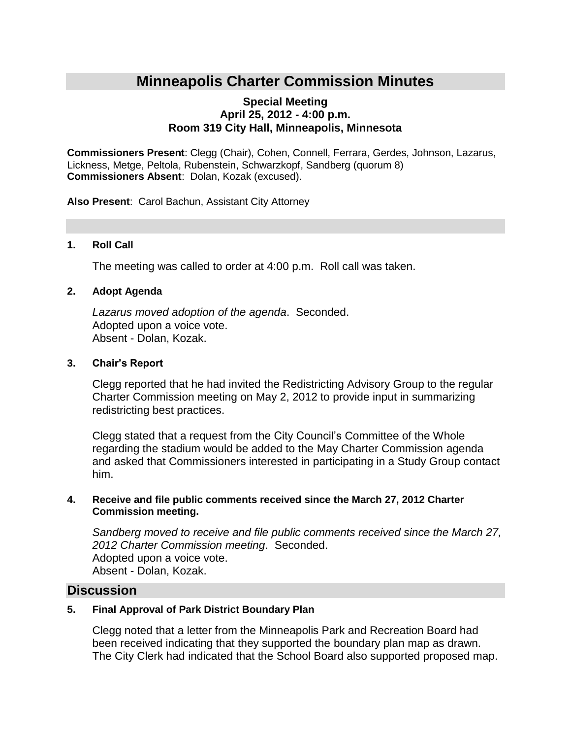# **Minneapolis Charter Commission Minutes**

# **Special Meeting April 25, 2012 - 4:00 p.m. Room 319 City Hall, Minneapolis, Minnesota**

**Commissioners Present**: Clegg (Chair), Cohen, Connell, Ferrara, Gerdes, Johnson, Lazarus, Lickness, Metge, Peltola, Rubenstein, Schwarzkopf, Sandberg (quorum 8) **Commissioners Absent**: Dolan, Kozak (excused).

**Also Present**: Carol Bachun, Assistant City Attorney

# **1. Roll Call**

The meeting was called to order at 4:00 p.m. Roll call was taken.

# **2. Adopt Agenda**

*Lazarus moved adoption of the agenda*. Seconded. Adopted upon a voice vote. Absent - Dolan, Kozak.

#### **3. Chair's Report**

Clegg reported that he had invited the Redistricting Advisory Group to the regular Charter Commission meeting on May 2, 2012 to provide input in summarizing redistricting best practices.

Clegg stated that a request from the City Council's Committee of the Whole regarding the stadium would be added to the May Charter Commission agenda and asked that Commissioners interested in participating in a Study Group contact him.

# **4. Receive and file public comments received since the March 27, 2012 Charter Commission meeting.**

*Sandberg moved to receive and file public comments received since the March 27, 2012 Charter Commission meeting*. Seconded. Adopted upon a voice vote. Absent - Dolan, Kozak.

# **Discussion**

# **5. Final Approval of Park District Boundary Plan**

Clegg noted that a letter from the Minneapolis Park and Recreation Board had been received indicating that they supported the boundary plan map as drawn. The City Clerk had indicated that the School Board also supported proposed map.